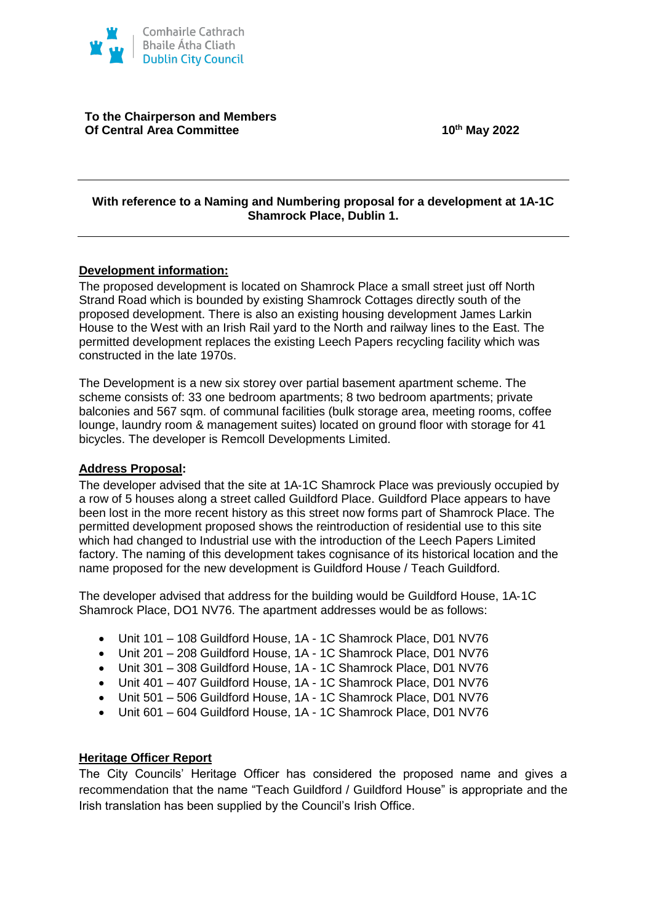

**To the Chairperson and Members Of Central Area Committee 10th May 2022**

#### **With reference to a Naming and Numbering proposal for a development at 1A-1C Shamrock Place, Dublin 1.**

## **Development information:**

The proposed development is located on Shamrock Place a small street just off North Strand Road which is bounded by existing Shamrock Cottages directly south of the proposed development. There is also an existing housing development James Larkin House to the West with an Irish Rail yard to the North and railway lines to the East. The permitted development replaces the existing Leech Papers recycling facility which was constructed in the late 1970s.

The Development is a new six storey over partial basement apartment scheme. The scheme consists of: 33 one bedroom apartments; 8 two bedroom apartments; private balconies and 567 sqm. of communal facilities (bulk storage area, meeting rooms, coffee lounge, laundry room & management suites) located on ground floor with storage for 41 bicycles. The developer is Remcoll Developments Limited.

#### **Address Proposal:**

The developer advised that the site at 1A‐1C Shamrock Place was previously occupied by a row of 5 houses along a street called Guildford Place. Guildford Place appears to have been lost in the more recent history as this street now forms part of Shamrock Place. The permitted development proposed shows the reintroduction of residential use to this site which had changed to Industrial use with the introduction of the Leech Papers Limited factory. The naming of this development takes cognisance of its historical location and the name proposed for the new development is Guildford House / Teach Guildford.

The developer advised that address for the building would be Guildford House, 1A‐1C Shamrock Place, DO1 NV76. The apartment addresses would be as follows:

- Unit 101 108 Guildford House, 1A 1C Shamrock Place, D01 NV76
- Unit 201 208 Guildford House, 1A 1C Shamrock Place, D01 NV76
- Unit 301 308 Guildford House, 1A 1C Shamrock Place, D01 NV76
- Unit 401 407 Guildford House, 1A 1C Shamrock Place, D01 NV76
- Unit 501 506 Guildford House, 1A 1C Shamrock Place, D01 NV76
- Unit 601 604 Guildford House, 1A 1C Shamrock Place, D01 NV76

## **Heritage Officer Report**

The City Councils' Heritage Officer has considered the proposed name and gives a recommendation that the name "Teach Guildford / Guildford House" is appropriate and the Irish translation has been supplied by the Council's Irish Office.